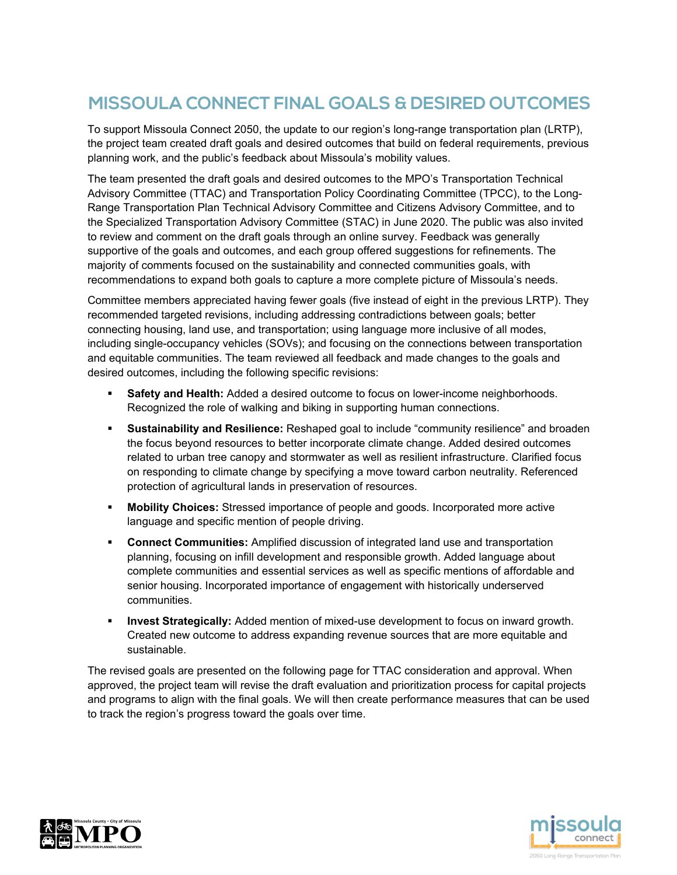# **MISSOULA CONNECT FINAL GOALS & DESIRED OUTCOMES**

To support Missoula Connect 2050, the update to our region's long-range transportation plan (LRTP), the project team created draft goals and desired outcomes that build on federal requirements, previous planning work, and the public's feedback about Missoula's mobility values.

The team presented the draft goals and desired outcomes to the MPO's Transportation Technical Advisory Committee (TTAC) and Transportation Policy Coordinating Committee (TPCC), to the Long-Range Transportation Plan Technical Advisory Committee and Citizens Advisory Committee, and to the Specialized Transportation Advisory Committee (STAC) in June 2020. The public was also invited to review and comment on the draft goals through an online survey. Feedback was generally supportive of the goals and outcomes, and each group offered suggestions for refinements. The majority of comments focused on the sustainability and connected communities goals, with recommendations to expand both goals to capture a more complete picture of Missoula's needs.

Committee members appreciated having fewer goals (five instead of eight in the previous LRTP). They recommended targeted revisions, including addressing contradictions between goals; better connecting housing, land use, and transportation; using language more inclusive of all modes, including single-occupancy vehicles (SOVs); and focusing on the connections between transportation and equitable communities. The team reviewed all feedback and made changes to the goals and desired outcomes, including the following specific revisions:

- **Safety and Health:** Added a desired outcome to focus on lower-income neighborhoods. Recognized the role of walking and biking in supporting human connections.
- **Sustainability and Resilience:** Reshaped goal to include "community resilience" and broaden the focus beyond resources to better incorporate climate change. Added desired outcomes related to urban tree canopy and stormwater as well as resilient infrastructure. Clarified focus on responding to climate change by specifying a move toward carbon neutrality. Referenced protection of agricultural lands in preservation of resources.
- **Mobility Choices:** Stressed importance of people and goods. Incorporated more active language and specific mention of people driving.
- **Connect Communities:** Amplified discussion of integrated land use and transportation planning, focusing on infill development and responsible growth. Added language about complete communities and essential services as well as specific mentions of affordable and senior housing. Incorporated importance of engagement with historically underserved communities.
- **Invest Strategically:** Added mention of mixed-use development to focus on inward growth. Created new outcome to address expanding revenue sources that are more equitable and sustainable.

The revised goals are presented on the following page for TTAC consideration and approval. When approved, the project team will revise the draft evaluation and prioritization process for capital projects and programs to align with the final goals. We will then create performance measures that can be used to track the region's progress toward the goals over time.